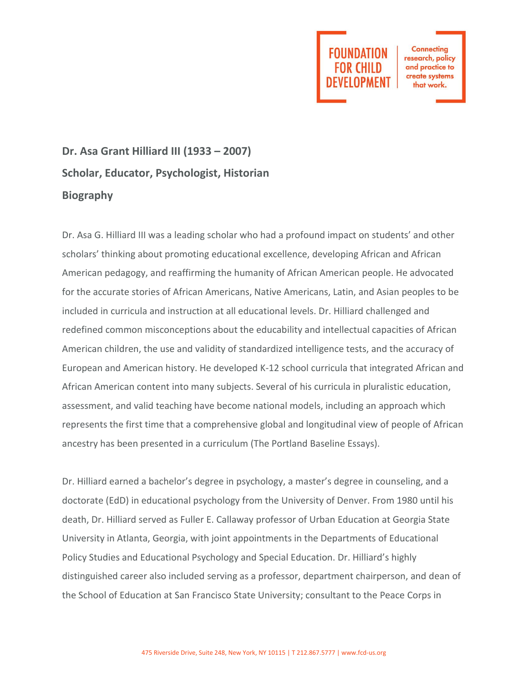

**Connecting** research, policy and practice to create systems that work.

## **Dr. Asa Grant Hilliard III (1933 – 2007) Scholar, Educator, Psychologist, Historian Biography**

Dr. Asa G. Hilliard III was a leading scholar who had a profound impact on students' and other scholars' thinking about promoting educational excellence, developing African and African American pedagogy, and reaffirming the humanity of African American people. He advocated for the accurate stories of African Americans, Native Americans, Latin, and Asian peoples to be included in curricula and instruction at all educational levels. Dr. Hilliard challenged and redefined common misconceptions about the educability and intellectual capacities of African American children, the use and validity of standardized intelligence tests, and the accuracy of European and American history. He developed K-12 school curricula that integrated African and African American content into many subjects. Several of his curricula in pluralistic education, assessment, and valid teaching have become national models, including an approach which represents the first time that a comprehensive global and longitudinal view of people of African ancestry has been presented in a curriculum (The Portland Baseline Essays).

Dr. Hilliard earned a bachelor's degree in psychology, a master's degree in counseling, and a doctorate (EdD) in educational psychology from the University of Denver. From 1980 until his death, Dr. Hilliard served as Fuller E. Callaway professor of Urban Education at Georgia State University in Atlanta, Georgia, with joint appointments in the Departments of Educational Policy Studies and Educational Psychology and Special Education. Dr. Hilliard's highly distinguished career also included serving as a professor, department chairperson, and dean of the School of Education at San Francisco State University; consultant to the Peace Corps in